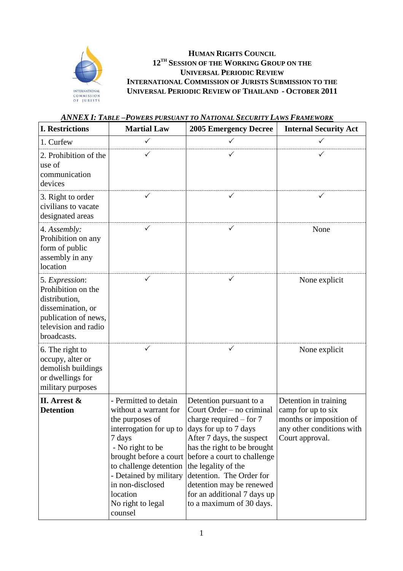

 $\overline{a}$ 

## **HUMAN RIGHTS COUNCIL 12TH SESSION OF THE WORKING GROUP ON THE UNIVERSAL PERIODIC REVIEW INTERNATIONAL COMMISSION OF JURISTS SUBMISSION TO THE UNIVERSAL PERIODIC REVIEW OF THAILAND - OCTOBER 2011**

| <b>I. Restrictions</b>                                                                                                                    | <b>Martial Law</b>                                                                                                                                                                                                                                                       | <b>2005 Emergency Decree</b>                                                                                                                                                                                                                                                                                                                    | <b>Internal Security Act</b>                                                                                           |
|-------------------------------------------------------------------------------------------------------------------------------------------|--------------------------------------------------------------------------------------------------------------------------------------------------------------------------------------------------------------------------------------------------------------------------|-------------------------------------------------------------------------------------------------------------------------------------------------------------------------------------------------------------------------------------------------------------------------------------------------------------------------------------------------|------------------------------------------------------------------------------------------------------------------------|
| 1. Curfew                                                                                                                                 | $\checkmark$                                                                                                                                                                                                                                                             | $\checkmark$                                                                                                                                                                                                                                                                                                                                    | ✓                                                                                                                      |
| 2. Prohibition of the<br>use of<br>communication<br>devices                                                                               | ✓                                                                                                                                                                                                                                                                        | ✓                                                                                                                                                                                                                                                                                                                                               | ✓                                                                                                                      |
| 3. Right to order<br>civilians to vacate<br>designated areas                                                                              |                                                                                                                                                                                                                                                                          | ✓                                                                                                                                                                                                                                                                                                                                               | ✓                                                                                                                      |
| 4. Assembly:<br>Prohibition on any<br>form of public<br>assembly in any<br>location                                                       | $\checkmark$                                                                                                                                                                                                                                                             | ✓                                                                                                                                                                                                                                                                                                                                               | None                                                                                                                   |
| 5. Expression:<br>Prohibition on the<br>distribution,<br>dissemination, or<br>publication of news,<br>television and radio<br>broadcasts. | $\checkmark$                                                                                                                                                                                                                                                             | ✓                                                                                                                                                                                                                                                                                                                                               | None explicit                                                                                                          |
| 6. The right to<br>occupy, alter or<br>demolish buildings<br>or dwellings for<br>military purposes                                        |                                                                                                                                                                                                                                                                          | ✓                                                                                                                                                                                                                                                                                                                                               | None explicit                                                                                                          |
| II. Arrest &<br><b>Detention</b>                                                                                                          | - Permitted to detain<br>without a warrant for<br>the purposes of<br>interrogation for up to<br>7 days<br>- No right to be<br>brought before a court<br>to challenge detention<br>- Detained by military<br>in non-disclosed<br>location<br>No right to legal<br>counsel | Detention pursuant to a<br>Court Order – no criminal<br>charge required $-$ for 7<br>days for up to 7 days<br>After 7 days, the suspect<br>has the right to be brought<br>before a court to challenge<br>the legality of the<br>detention. The Order for<br>detention may be renewed<br>for an additional 7 days up<br>to a maximum of 30 days. | Detention in training<br>camp for up to six<br>months or imposition of<br>any other conditions with<br>Court approval. |